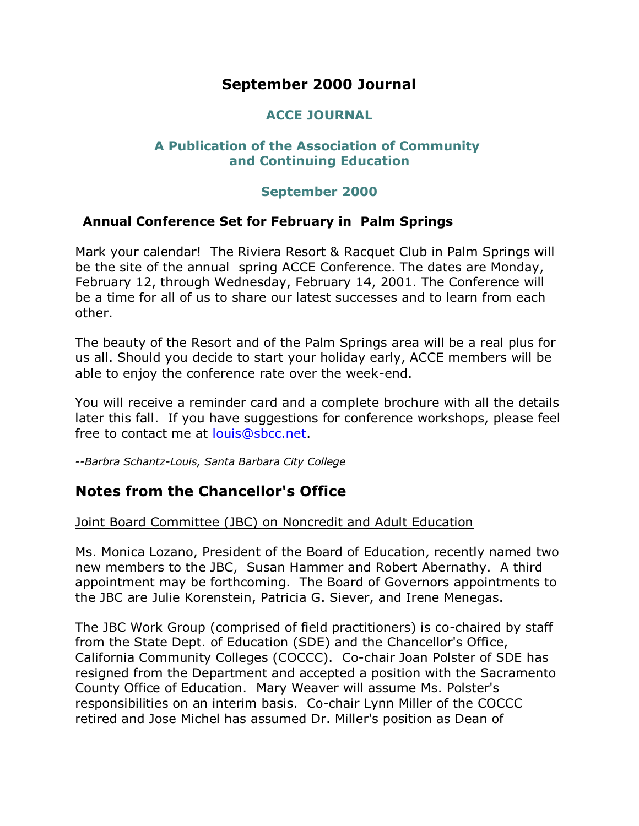# **September 2000 Journal**

## **ACCE JOURNAL**

### **A Publication of the Association of Community and Continuing Education**

#### **September 2000**

#### **Annual Conference Set for February in Palm Springs**

Mark your calendar! The Riviera Resort & Racquet Club in Palm Springs will be the site of the annual spring ACCE Conference. The dates are Monday, February 12, through Wednesday, February 14, 2001. The Conference will be a time for all of us to share our latest successes and to learn from each other.

The beauty of the Resort and of the Palm Springs area will be a real plus for us all. Should you decide to start your holiday early, ACCE members will be able to enjoy the conference rate over the week-end.

You will receive a reminder card and a complete brochure with all the details later this fall. If you have suggestions for conference workshops, please feel free to contact me at [louis@sbcc.net.](mailto:louis@sbcc.net)

*--Barbra Schantz-Louis, Santa Barbara City College*

# **Notes from the Chancellor's Office**

#### Joint Board Committee (JBC) on Noncredit and Adult Education

Ms. Monica Lozano, President of the Board of Education, recently named two new members to the JBC, Susan Hammer and Robert Abernathy. A third appointment may be forthcoming. The Board of Governors appointments to the JBC are Julie Korenstein, Patricia G. Siever, and Irene Menegas.

The JBC Work Group (comprised of field practitioners) is co-chaired by staff from the State Dept. of Education (SDE) and the Chancellor's Office, California Community Colleges (COCCC). Co-chair Joan Polster of SDE has resigned from the Department and accepted a position with the Sacramento County Office of Education. Mary Weaver will assume Ms. Polster's responsibilities on an interim basis. Co-chair Lynn Miller of the COCCC retired and Jose Michel has assumed Dr. Miller's position as Dean of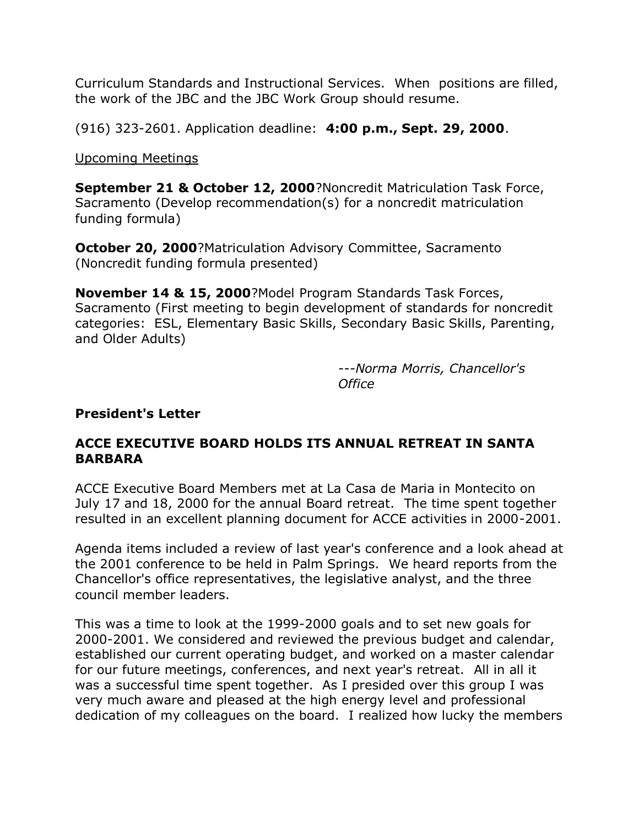Curriculum Standards and Instructional Services. When positions are filled, the work of the JBC and the JBC Work Group should resume.

(916) 323-2601. Application deadline: **4:00 p.m., Sept. 29, 2000**.

Upcoming Meetings

**September 21 & October 12, 2000**?Noncredit Matriculation Task Force, Sacramento (Develop recommendation(s) for a noncredit matriculation funding formula)

**October 20, 2000**?Matriculation Advisory Committee, Sacramento (Noncredit funding formula presented)

**November 14 & 15, 2000**?Model Program Standards Task Forces, Sacramento (First meeting to begin development of standards for noncredit categories: ESL, Elementary Basic Skills, Secondary Basic Skills, Parenting, and Older Adults)

> *---Norma Morris, Chancellor's Office*

### **President's Letter**

## **ACCE EXECUTIVE BOARD HOLDS ITS ANNUAL RETREAT IN SANTA BARBARA**

ACCE Executive Board Members met at La Casa de Maria in Montecito on July 17 and 18, 2000 for the annual Board retreat. The time spent together resulted in an excellent planning document for ACCE activities in 2000-2001.

Agenda items included a review of last year's conference and a look ahead at the 2001 conference to be held in Palm Springs. We heard reports from the Chancellor's office representatives, the legislative analyst, and the three council member leaders.

This was a time to look at the 1999-2000 goals and to set new goals for 2000-2001. We considered and reviewed the previous budget and calendar, established our current operating budget, and worked on a master calendar for our future meetings, conferences, and next year's retreat. All in all it was a successful time spent together. As I presided over this group I was very much aware and pleased at the high energy level and professional dedication of my colleagues on the board. I realized how lucky the members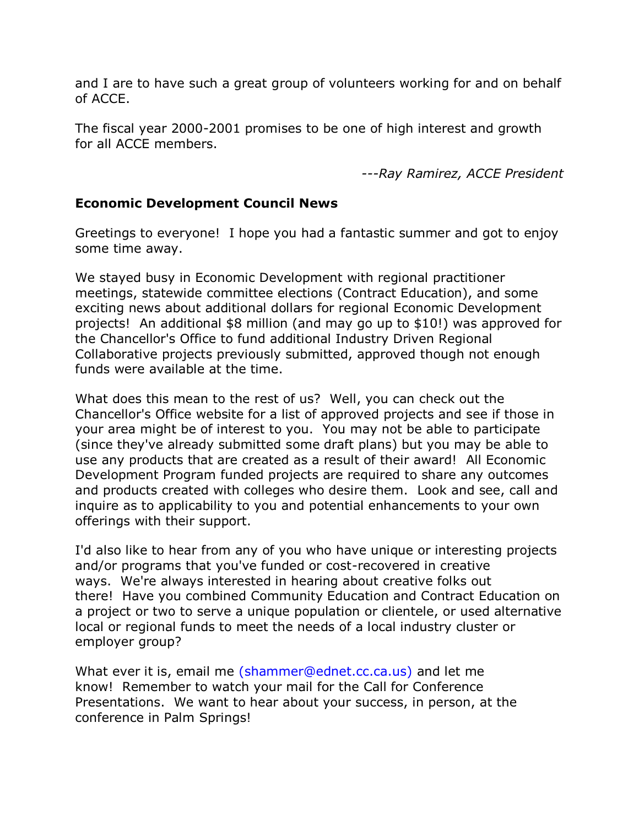and I are to have such a great group of volunteers working for and on behalf of ACCE.

The fiscal year 2000-2001 promises to be one of high interest and growth for all ACCE members.

*---Ray Ramirez, ACCE President*

### **Economic Development Council News**

Greetings to everyone! I hope you had a fantastic summer and got to enjoy some time away.

We stayed busy in Economic Development with regional practitioner meetings, statewide committee elections (Contract Education), and some exciting news about additional dollars for regional Economic Development projects! An additional \$8 million (and may go up to \$10!) was approved for the Chancellor's Office to fund additional Industry Driven Regional Collaborative projects previously submitted, approved though not enough funds were available at the time.

What does this mean to the rest of us? Well, you can check out the Chancellor's Office website for a list of approved projects and see if those in your area might be of interest to you. You may not be able to participate (since they've already submitted some draft plans) but you may be able to use any products that are created as a result of their award! All Economic Development Program funded projects are required to share any outcomes and products created with colleges who desire them. Look and see, call and inquire as to applicability to you and potential enhancements to your own offerings with their support.

I'd also like to hear from any of you who have unique or interesting projects and/or programs that you've funded or cost-recovered in creative ways. We're always interested in hearing about creative folks out there! Have you combined Community Education and Contract Education on a project or two to serve a unique population or clientele, or used alternative local or regional funds to meet the needs of a local industry cluster or employer group?

What ever it is, email me [\(shammer@ednet.cc.ca.us\)](mailto:shammer@ednet.cc.ca.us) and let me know! Remember to watch your mail for the Call for Conference Presentations. We want to hear about your success, in person, at the conference in Palm Springs!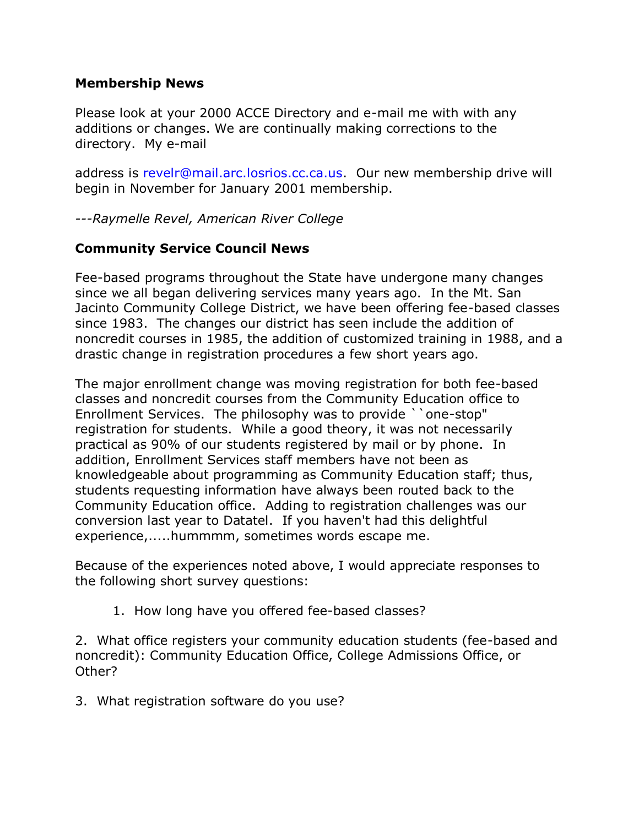#### **Membership News**

Please look at your 2000 ACCE Directory and e-mail me with with any additions or changes. We are continually making corrections to the directory. My e-mail

address is [revelr@mail.arc.losrios.cc.ca.us.](mailto:revelr@mail.arc.losrios.cc.ca.us) Our new membership drive will begin in November for January 2001 membership.

*---Raymelle Revel, American River College*

## **Community Service Council News**

Fee-based programs throughout the State have undergone many changes since we all began delivering services many years ago. In the Mt. San Jacinto Community College District, we have been offering fee-based classes since 1983. The changes our district has seen include the addition of noncredit courses in 1985, the addition of customized training in 1988, and a drastic change in registration procedures a few short years ago.

The major enrollment change was moving registration for both fee-based classes and noncredit courses from the Community Education office to Enrollment Services. The philosophy was to provide ``one-stop" registration for students. While a good theory, it was not necessarily practical as 90% of our students registered by mail or by phone. In addition, Enrollment Services staff members have not been as knowledgeable about programming as Community Education staff; thus, students requesting information have always been routed back to the Community Education office. Adding to registration challenges was our conversion last year to Datatel. If you haven't had this delightful experience,.....hummmm, sometimes words escape me.

Because of the experiences noted above, I would appreciate responses to the following short survey questions:

1. How long have you offered fee-based classes?

2. What office registers your community education students (fee-based and noncredit): Community Education Office, College Admissions Office, or Other?

3. What registration software do you use?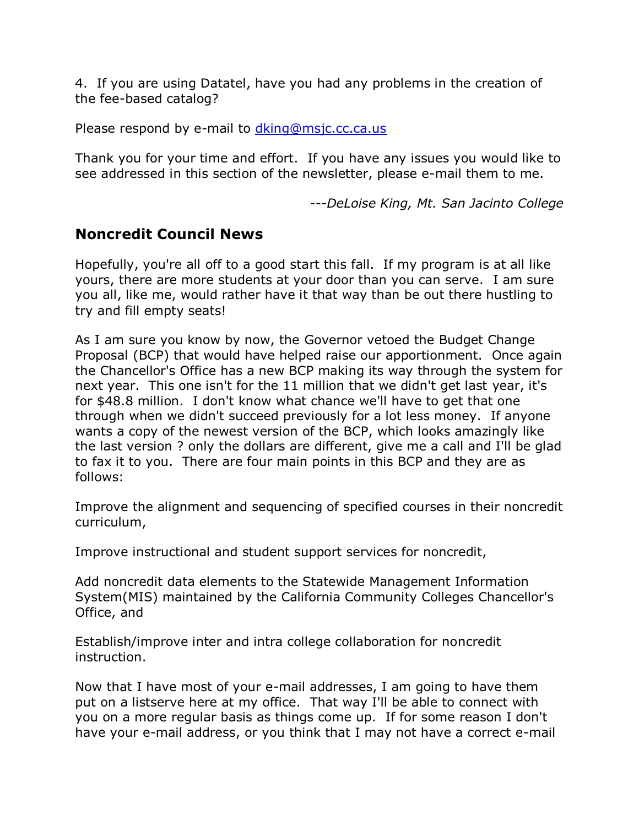4. If you are using Datatel, have you had any problems in the creation of the fee-based catalog?

Please respond by e-mail to dking@msjc.cc.ca.us

Thank you for your time and effort. If you have any issues you would like to see addressed in this section of the newsletter, please e-mail them to me.

*---DeLoise King, Mt. San Jacinto College*

# **Noncredit Council News**

Hopefully, you're all off to a good start this fall. If my program is at all like yours, there are more students at your door than you can serve. I am sure you all, like me, would rather have it that way than be out there hustling to try and fill empty seats!

As I am sure you know by now, the Governor vetoed the Budget Change Proposal (BCP) that would have helped raise our apportionment. Once again the Chancellor's Office has a new BCP making its way through the system for next year. This one isn't for the 11 million that we didn't get last year, it's for \$48.8 million. I don't know what chance we'll have to get that one through when we didn't succeed previously for a lot less money. If anyone wants a copy of the newest version of the BCP, which looks amazingly like the last version ? only the dollars are different, give me a call and I'll be glad to fax it to you. There are four main points in this BCP and they are as follows:

Improve the alignment and sequencing of specified courses in their noncredit curriculum,

Improve instructional and student support services for noncredit,

Add noncredit data elements to the Statewide Management Information System(MIS) maintained by the California Community Colleges Chancellor's Office, and

Establish/improve inter and intra college collaboration for noncredit instruction.

Now that I have most of your e-mail addresses, I am going to have them put on a listserve here at my office. That way I'll be able to connect with you on a more regular basis as things come up. If for some reason I don't have your e-mail address, or you think that I may not have a correct e-mail